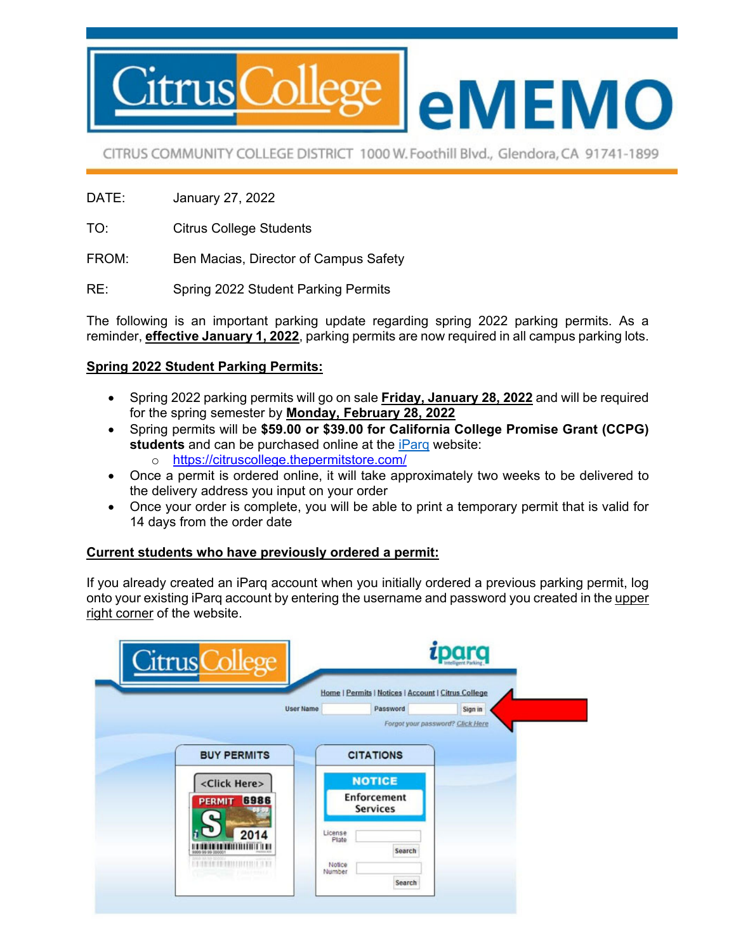

CITRUS COMMUNITY COLLEGE DISTRICT 1000 W. Foothill Blvd., Glendora, CA 91741-1899

- DATE: January 27, 2022
- TO: Citrus College Students
- FROM: Ben Macias, Director of Campus Safety
- RE: Spring 2022 Student Parking Permits

The following is an important parking update regarding spring 2022 parking permits. As a reminder, **effective January 1, 2022**, parking permits are now required in all campus parking lots.

## **Spring 2022 Student Parking Permits:**

- Spring 2022 parking permits will go on sale **Friday, January 28, 2022** and will be required for the spring semester by **Monday, February 28, 2022**
- Spring permits will be **\$59.00 or \$39.00 for California College Promise Grant (CCPG) students** and can be purchased online at the iParq website:
	- o https://citruscollege.thepermitstore.com/
- Once a permit is ordered online, it will take approximately two weeks to be delivered to the delivery address you input on your order
- Once your order is complete, you will be able to print a temporary permit that is valid for 14 days from the order date

## **Current students who have previously ordered a permit:**

If you already created an iParq account when you initially ordered a previous parking permit, log onto your existing iParq account by entering the username and password you created in the upper right corner of the website.

| Citrus College                                 | parq                                                                                                |         |
|------------------------------------------------|-----------------------------------------------------------------------------------------------------|---------|
| <b>User Name</b>                               | Home   Permits   Notices   Account   Citrus College<br>Password<br>Forgot your password? Click Here | Sign in |
| <b>BUY PERMITS</b>                             | <b>CITATIONS</b>                                                                                    |         |
| <click here=""><br/><b>PERMIT 6986</b></click> | <b>NOTICE</b><br><b>Enforcement</b><br><b>Services</b>                                              |         |
| 2014<br>19 19 19 19 19 11 11 11 11 11 11 11    | License<br>Plate<br>Search<br>Notice<br>Number                                                      |         |
|                                                | Search                                                                                              |         |